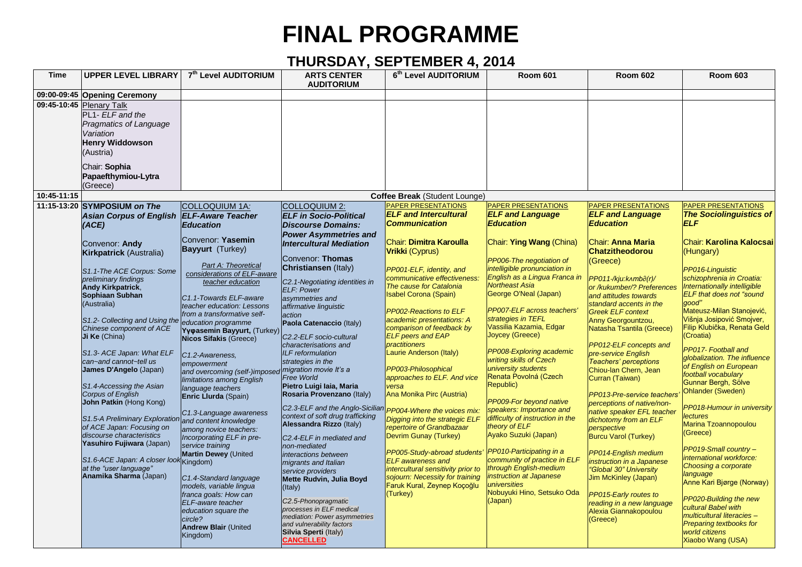## **FINAL PROGRAMME**

## **THURSDAY, SEPTEMBER 4, 2014**

| <b>Time</b> | <b>UPPER LEVEL LIBRARY</b>                                                                                                 | 7 <sup>th</sup> Level AUDITORIUM                          | <b>ARTS CENTER</b><br><b>AUDITORIUM</b>                      | 6th Level AUDITORIUM                                    | <b>Room 601</b>                                 | <b>Room 602</b>                                          | <b>Room 603</b>                                          |
|-------------|----------------------------------------------------------------------------------------------------------------------------|-----------------------------------------------------------|--------------------------------------------------------------|---------------------------------------------------------|-------------------------------------------------|----------------------------------------------------------|----------------------------------------------------------|
|             | 09:00-09:45 Opening Ceremony                                                                                               |                                                           |                                                              |                                                         |                                                 |                                                          |                                                          |
|             | 09:45-10:45 Plenary Talk<br>PL1- ELF and the<br>Pragmatics of Language<br>Variation<br><b>Henry Widdowson</b><br>(Austria) |                                                           |                                                              |                                                         |                                                 |                                                          |                                                          |
|             | Chair: Sophia<br>Papaefthymiou-Lytra<br>(Greece)                                                                           |                                                           |                                                              |                                                         |                                                 |                                                          |                                                          |
| 10:45-11:15 |                                                                                                                            |                                                           |                                                              | Coffee Break (Student Lounge)                           |                                                 |                                                          |                                                          |
|             | 11:15-13:20 SYMPOSIUM on The                                                                                               | COLLOQUIUM 1A:                                            | <b>COLLOQUIUM 2:</b>                                         | PAPER PRESENTATIONS                                     | PAPER PRESENTATIONS                             | <b>PAPER PRESENTATIONS</b>                               | <b>PAPER PRESENTATIONS</b>                               |
|             | Asian Corpus of English ELF-Aware Teacher                                                                                  |                                                           | <b>ELF</b> in Socio-Political                                | <b>ELF and Intercultural</b>                            | <b>ELF and Language</b>                         | <b>ELF and Language</b>                                  | <b>The Sociolinguistics of</b>                           |
|             | (ACE)                                                                                                                      | <b>Education</b>                                          | <b>Discourse Domains:</b>                                    | <b>Communication</b>                                    | <b>Education</b>                                | <b>Education</b>                                         | <b>ELF</b>                                               |
|             |                                                                                                                            |                                                           | <b>Power Asymmetries and</b>                                 |                                                         |                                                 |                                                          |                                                          |
|             | Convenor: Andy                                                                                                             | Convenor: Yasemin                                         | <b>Intercultural Mediation</b>                               | <b>Chair: Dimitra Karoulla</b>                          | Chair: Ying Wang (China)                        | <b>Chair: Anna Maria</b>                                 | Chair: Karolina Kalocsai                                 |
|             | Kirkpatrick (Australia)                                                                                                    | <b>Bayyurt</b> (Turkey)                                   |                                                              | <b>Vrikki</b> (Cyprus)                                  |                                                 | <b>Chatzitheodorou</b>                                   | (Hungary)                                                |
|             |                                                                                                                            | Part A: Theoretical                                       | Convenor: Thomas                                             |                                                         | PP006-The negotiation of                        | (Greece)                                                 |                                                          |
|             | S1.1-The ACE Corpus: Some                                                                                                  | considerations of ELF-aware                               | Christiansen (Italy)                                         | PP001-ELF, identity, and                                | intelligible pronunciation in                   |                                                          | PP016-Linguistic                                         |
|             | preliminary findings                                                                                                       | teacher education                                         | C2.1-Negotiating identities in                               | communicative effectiveness:<br>The cause for Catalonia | English as a Lingua Franca in<br>Northeast Asia | PP011-/kju:knmba(r)/                                     | schizophrenia in Croatia:                                |
|             | <b>Andy Kirkpatrick,</b><br>Sophiaan Subhan                                                                                |                                                           | <b>ELF: Power</b>                                            | <b>Isabel Corona (Spain)</b>                            | George O'Neal (Japan)                           | or /kukumber/? Preferences<br>and attitudes towards      | Internationally intelligible<br>ELF that does not "sound |
|             | (Australia)                                                                                                                | C1.1-Towards ELF-aware                                    | asymmetries and                                              |                                                         |                                                 | standard accents in the                                  | good"                                                    |
|             |                                                                                                                            | teacher education: Lessons<br>from a transformative self- | affirmative linguistic<br>action                             | PP002-Reactions to ELF                                  | PP007-ELF across teachers'                      | <b>Greek ELF context</b>                                 | Mateusz-Milan Stanojević,                                |
|             | S1.2- Collecting and Using the education programme                                                                         |                                                           | Paola Catenaccio (Italy)                                     | academic presentations: A                               | strategies in TEFL                              | Anny Georgountzou,                                       | Višnja Josipović Smojver,                                |
|             | Chinese component of ACE                                                                                                   | Υγφasemin Bayyurt, (Turkey)                               |                                                              | comparison of feedback by                               | Vassilia Kazamia, Edgar                         | Natasha Tsantila (Greece)                                | Filip Klubička, Renata Geld                              |
|             | Ji Ke (China)                                                                                                              | <b>Nicos Sifakis (Greece)</b>                             | C2.2-ELF socio-cultural<br>characterisations and             | <b>ELF peers and EAP</b><br>practitioners               | Joycey (Greece)                                 | PP012-ELF concepts and                                   | (Croatia)                                                |
|             | S1.3- ACE Japan: What ELF                                                                                                  |                                                           | <b>ILF</b> reformulation                                     | Laurie Anderson (Italy)                                 | PP008-Exploring academic                        | pre-service English                                      | PP017- Football and                                      |
|             | can~and cannot~tell us                                                                                                     | C1.2-Awareness,<br>empowerment                            | strategies in the                                            |                                                         | writing skills of Czech                         | <b>Teachers' perceptions</b>                             | globalization. The influence                             |
|             | James D'Angelo (Japan)                                                                                                     | and overcoming (self-)imposed migration movie It's a      |                                                              | PP003-Philosophical                                     | university students                             | Chiou-lan Chern, Jean                                    | of English on European<br>football vocabulary            |
|             |                                                                                                                            | limitations among English                                 | <b>Free World</b>                                            | approaches to ELF. And vice                             | Renata Povolná (Czech<br>Republic)              | Curran (Taiwan)                                          | Gunnar Bergh, Sölve                                      |
|             | S1.4-Accessing the Asian<br>Corpus of English                                                                              | language teachers                                         | Pietro Luigi laia, Maria<br>Rosaria Provenzano (Italy)       | versa<br>Ana Monika Pirc (Austria)                      |                                                 |                                                          | <b>Ohlander (Sweden)</b>                                 |
|             | John Patkin (Hong Kong)                                                                                                    | Enric Llurda (Spain)                                      |                                                              |                                                         | PP009-For beyond native                         | PP013-Pre-service teachers<br>perceptions of native/non- |                                                          |
|             |                                                                                                                            | C1.3-Language awareness                                   | C2.3-ELF and the Anglo-Sicilian                              | PP004-Where the voices mix:                             | speakers: Importance and                        | native speaker EFL teacher                               | PP018-Humour in university                               |
|             | S1.5-A Preliminary Exploratio                                                                                              | and content knowledge                                     | context of soft drug trafficking<br>Alessandra Rizzo (Italy) | Digging into the strategic ELF                          | difficulty of instruction in the                | dichotomy from an ELF                                    | <b>lectures</b><br>Marina Tzoannopoulou                  |
|             | of ACE Japan: Focusing on                                                                                                  | among novice teachers:                                    |                                                              | repertoire of Grandbazaar                               | theory of ELF                                   | perspective                                              | (Greece)                                                 |
|             | discourse characteristics<br>Yasuhiro Fujiwara (Japan)                                                                     | Incorporating ELF in pre-                                 | C <sub>2</sub> .4-ELF in mediated and                        | Devrim Gunay (Turkey)                                   | Ayako Suzuki (Japan)                            | <b>Burcu Varol (Turkey)</b>                              |                                                          |
|             |                                                                                                                            | service training<br><b>Martin Dewey (United</b>           | non-mediated                                                 | PP005-Study-abroad students'                            | PP010-Participating in a                        | PP014-English medium                                     | PP019-Small country -                                    |
|             | S1.6-ACE Japan: A closer look Kingdom)                                                                                     |                                                           | interactions between<br>migrants and Italian                 | <b>ELF</b> awareness and                                | community of practice in ELF                    | instruction in a Japanese                                | international workforce:                                 |
|             | at the "user language"                                                                                                     |                                                           | service providers                                            | intercultural sensitivity prior to                      | through English-medium                          | "Global 30" University                                   | Choosing a corporate                                     |
|             | Anamika Sharma (Japan)                                                                                                     | C1.4-Standard language                                    | Mette Rudvin, Julia Boyd                                     | sojourn: Necessity for training                         | instruction at Japanese                         | <b>Jim McKinley (Japan)</b>                              | language<br>Anne Kari Bjørge (Norway)                    |
|             |                                                                                                                            | models, variable lingua                                   | (Italy)                                                      | Faruk Kural, Zeynep Koçoğlu                             | universities<br>Nobuyuki Hino, Setsuko Oda      |                                                          |                                                          |
|             |                                                                                                                            | franca goals: How can<br>ELF-aware teacher                | C2.5-Phonopragmatic                                          | (Turkey)                                                | (Japan)                                         | PP015-Early routes to<br>reading in a new language       | PP020-Building the new                                   |
|             |                                                                                                                            | education square the                                      | processes in ELF medical                                     |                                                         |                                                 | Alexia Giannakopoulou                                    | cultural Babel with                                      |
|             |                                                                                                                            | circle?                                                   | mediation: Power asymmetries                                 |                                                         |                                                 | (Greece)                                                 | multicultural literacies -                               |
|             |                                                                                                                            | <b>Andrew Blair (United</b>                               | and vulnerability factors<br>Silvia Sperti (Italy)           |                                                         |                                                 |                                                          | Preparing textbooks for<br>world citizens                |
|             |                                                                                                                            | Kingdom)                                                  | <b>CANCELLED</b>                                             |                                                         |                                                 |                                                          | Xiaobo Wang (USA)                                        |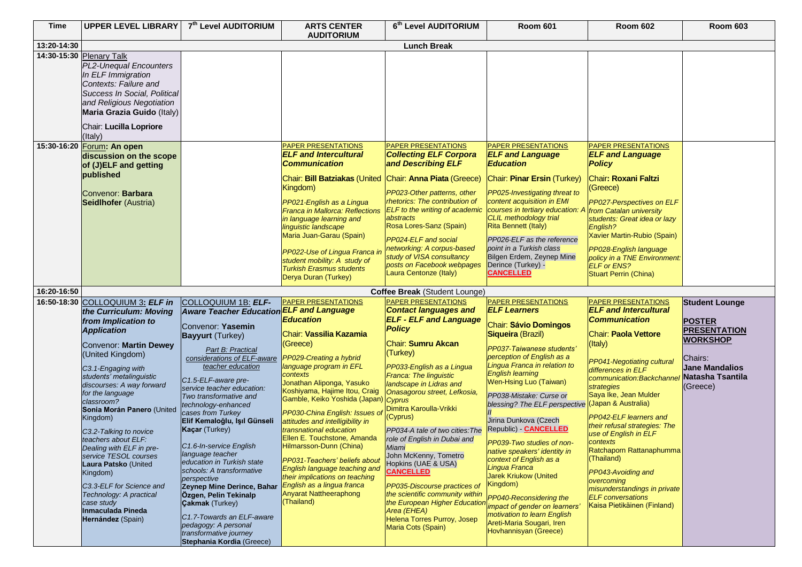| <b>Time</b> | <b>UPPER LEVEL LIBRARY</b>                                                                                                                                     | 7th Level AUDITORIUM                                                                                                                                        | <b>ARTS CENTER</b><br><b>AUDITORIUM</b>                                                                                                                | 6th Level AUDITORIUM                                                                                                                        | <b>Room 601</b>                                                                                                                                                 | <b>Room 602</b>                                                                                                                            | <b>Room 603</b>                                                  |
|-------------|----------------------------------------------------------------------------------------------------------------------------------------------------------------|-------------------------------------------------------------------------------------------------------------------------------------------------------------|--------------------------------------------------------------------------------------------------------------------------------------------------------|---------------------------------------------------------------------------------------------------------------------------------------------|-----------------------------------------------------------------------------------------------------------------------------------------------------------------|--------------------------------------------------------------------------------------------------------------------------------------------|------------------------------------------------------------------|
| 13:20-14:30 |                                                                                                                                                                |                                                                                                                                                             |                                                                                                                                                        | <b>Lunch Break</b>                                                                                                                          |                                                                                                                                                                 |                                                                                                                                            |                                                                  |
|             | 14:30-15:30 Plenary Talk<br>PL2-Unequal Encounters<br>In ELF Immigration<br>Contexts: Failure and<br>Success In Social, Political<br>and Religious Negotiation |                                                                                                                                                             |                                                                                                                                                        |                                                                                                                                             |                                                                                                                                                                 |                                                                                                                                            |                                                                  |
|             | Maria Grazia Guido (Italy)<br>Chair: Lucilla Lopriore<br>(Italy)                                                                                               |                                                                                                                                                             |                                                                                                                                                        |                                                                                                                                             |                                                                                                                                                                 |                                                                                                                                            |                                                                  |
| 15:30-16:20 | Forum: An open<br>discussion on the scope<br>of (J)ELF and getting<br>published                                                                                |                                                                                                                                                             | PAPER PRESENTATIONS<br><b>ELF and Intercultural</b><br><b>Communication</b><br>Chair: Bill Batziakas (United                                           | PAPER PRESENTATIONS<br><b>Collecting ELF Corpora</b><br>and Describing ELF<br>Chair: Anna Piata (Greece)                                    | <b>PAPER PRESENTATIONS</b><br><b>ELF and Language</b><br><b>Education</b><br>Chair: Pinar Ersin (Turkey)                                                        | PAPER PRESENTATIONS<br><b>ELF and Language</b><br><b>Policy</b><br>Chair: Roxani Faltzi                                                    |                                                                  |
|             | Convenor: Barbara<br><b>Seidlhofer (Austria)</b>                                                                                                               |                                                                                                                                                             | Kingdom)<br>PP021-English as a Lingua<br>Franca in Mallorca: Reflections<br>in language learning and                                                   | PP023-Other patterns, other<br>rhetorics: The contribution of<br>ELF to the writing of academic<br>abstracts<br>Rosa Lores-Sanz (Spain)     | PP025-Investigating threat to<br>content acquisition in EMI<br>courses in tertiary education: A<br><b>CLIL</b> methodology trial<br><b>Rita Bennett (Italy)</b> | (Greece)<br>PP027-Perspectives on ELF<br>from Catalan university<br>students: Great idea or lazy                                           |                                                                  |
|             |                                                                                                                                                                |                                                                                                                                                             | linguistic landscape<br>Maria Juan-Garau (Spain)<br>PP022-Use of Lingua Franca i<br>student mobility: A study of                                       | PP024-ELF and social<br>networking: A corpus-based<br>study of VISA consultancy<br>posts on Facebook webpages                               | PP026-ELF as the reference<br>point in a Turkish class<br>Bilgen Erdem, Zeynep Mine<br>Derince (Turkey) -                                                       | English?<br><b>Xavier Martin-Rubio (Spain)</b><br>PP028-English language<br>policy in a TNE Environment:<br><b>ELF or ENS?</b>             |                                                                  |
|             |                                                                                                                                                                |                                                                                                                                                             | <b>Turkish Erasmus students</b><br>Derya Duran (Turkey)                                                                                                | Laura Centonze (Italy)                                                                                                                      | <b>CANCELLED</b>                                                                                                                                                | <b>Stuart Perrin (China)</b>                                                                                                               |                                                                  |
| 16:20-16:50 |                                                                                                                                                                |                                                                                                                                                             |                                                                                                                                                        | Coffee Break (Student Lounge)                                                                                                               |                                                                                                                                                                 |                                                                                                                                            |                                                                  |
|             | 16:50-18:30 COLLOQUIUM 3: ELF in                                                                                                                               | COLLOQUIUM 1B: ELF-                                                                                                                                         | <b>PAPER PRESENTATIONS</b>                                                                                                                             | PAPER PRESENTATIONS                                                                                                                         | <b>PAPER PRESENTATIONS</b>                                                                                                                                      | <b>PAPER PRESENTATIONS</b>                                                                                                                 | <b>Student Lounge</b>                                            |
|             | the Curriculum: Moving                                                                                                                                         | <b>Aware Teacher Education ELF and Language</b>                                                                                                             |                                                                                                                                                        | <b>Contact languages and</b>                                                                                                                | <b>ELF Learners</b>                                                                                                                                             | <b>ELF and Intercultural</b>                                                                                                               |                                                                  |
|             | from Implication to<br><b>Application</b><br>Convenor: Martin Dewey<br>(United Kingdom)                                                                        | Convenor: Yasemin<br><b>Bayyurt</b> (Turkey)<br>Part B: Practical<br>considerations of ELF-aware                                                            | Education<br>Chair: Vassilia Kazamia<br>(Greece)<br>PP029-Creating a hybrid                                                                            | <b>ELF - ELF and Language</b><br><b>Policy</b><br><b>Chair: Sumru Akcan</b><br>(Turkey)                                                     | <b>Chair: Sávio Domingos</b><br>Siqueira (Brazil)<br>PP037-Taiwanese students'<br>perception of English as a                                                    | <b>Communication</b><br><b>Chair: Paola Vettore</b><br>(Italy)                                                                             | <b>POSTER</b><br><b>PRESENTATION</b><br><b>WORKSHOP</b>          |
|             | C3.1-Engaging with<br>students' metalinguistic<br>discourses: A way forward<br>for the language<br>classroom?                                                  | teacher education<br>C1.5-ELF-aware pre-<br>service teacher education:<br>Two transformative and<br>technology-enhanced                                     | language program in EFL<br>contexts<br>Jonathan Aliponga, Yasuko<br>Koshiyama, Hajime Itou, Craig<br>Gamble, Keiko Yoshida (Japan) Cyprus              | PP033-English as a Lingua<br><b>Franca: The linguistic</b><br>landscape in Lidras and<br>Onasagorou street, Lefkosia,                       | Lingua Franca in relation to<br><b>English learning</b><br>Wen-Hsing Luo (Taiwan)<br>PP038-Mistake: Curse or<br>blessing? The ELF perspective                   | PP041-Negotiating cultural<br>differences in ELF<br>communication:Backchanne<br>strategies<br>Saya Ike, Jean Mulder<br>(Japan & Australia) | Chairs:<br><b>Jane Mandalios</b><br>Natasha Tsantila<br>(Greece) |
|             | Sonia Morán Panero (United<br>Kingdom)<br>C3.2-Talking to novice<br>teachers about ELF:<br>Dealing with ELF in pre-                                            | cases from Turkey<br>Elif Kemaloğlu, Işıl Günseli<br><b>Kaçar</b> (Turkey)<br>C1.6-In-service English                                                       | PP030-China English: Issues o<br>attitudes and intelligibility in<br>transnational education<br>Ellen E. Touchstone, Amanda<br>Hilmarsson-Dunn (China) | Dimitra Karoulla-Vrikki<br>(Cyprus)<br>PP034-A tale of two cities: The<br>role of English in Dubai and<br>Miami                             | Jirina Dunkova (Czech<br>Republic) CANCELLED<br>PP039-Two studies of non-                                                                                       | PP042-ELF learners and<br>their refusal strategies: The<br>use of English in ELF<br>contexts                                               |                                                                  |
|             | service TESOL courses<br>Laura Patsko (United<br>Kingdom)<br>C3.3-ELF for Science and                                                                          | language teacher<br>education in Turkish state<br>schools: A transformative<br>perspective<br>Zeynep Mine Derince, Bahar                                    | PP031-Teachers' beliefs about<br>English language teaching and<br>their implications on teaching<br>English as a lingua franca                         | John McKenny, Tometro<br>Hopkins (UAE & USA)<br><b>CANCELLED</b><br>PP035-Discourse practices of                                            | native speakers' identity in<br>context of English as a<br>Lingua Franca<br>Jarek Kriukow (United<br>Kingdom)                                                   | Ratchaporn Rattanaphumma<br>(Thailand)<br>PP043-Avoiding and<br>overcoming<br>misunderstandings in private                                 |                                                                  |
|             | Technology: A practical<br>case study<br>Inmaculada Pineda<br>Hernández (Spain)                                                                                | Özgen, Pelin Tekinalp<br><b>Çakmak</b> (Turkey)<br>C1.7-Towards an ELF-aware<br>pedagogy: A personal<br>transformative journey<br>Stephania Kordia (Greece) | <b>Anyarat Nattheeraphong</b><br>(Thailand)                                                                                                            | the scientific community within<br>the European Higher Education<br>Area (EHEA)<br><b>Helena Torres Purroy, Josep</b><br>Maria Cots (Spain) | PP040-Reconsidering the<br>impact of gender on learners'<br>motivation to learn English<br>Areti-Maria Sougari, Iren<br>Hovhannisyan (Greece)                   | <b>ELF</b> conversations<br>Kaisa Pietikäinen (Finland)                                                                                    |                                                                  |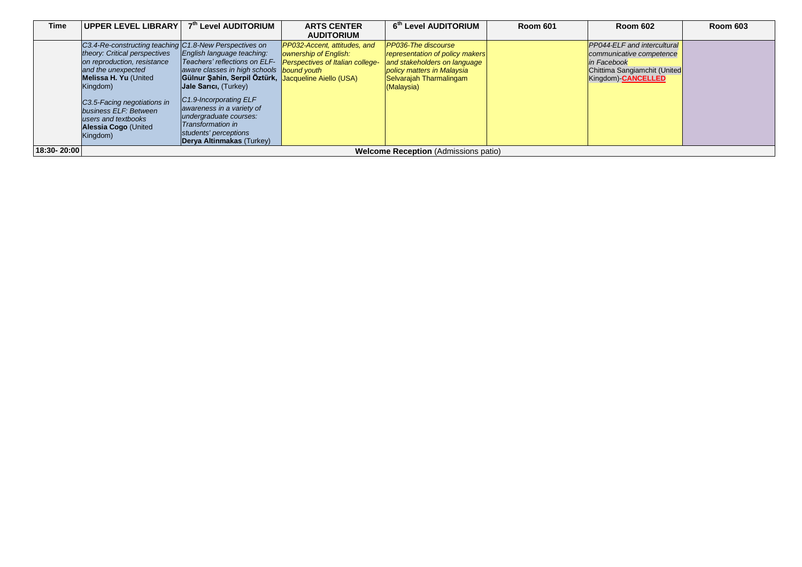| Time        | <b>UPPER LEVEL LIBRARY</b>                                                                                                                                                                                                                                                                                   | 7th Level AUDITORIUM                                                                                                                                                                                                                                                                                                       | <b>ARTS CENTER</b>                                                                                                                    | 6th Level AUDITORIUM                                                                                                                                                 | <b>Room 601</b> | <b>Room 602</b>                                                                                                                     | <b>Room 603</b> |
|-------------|--------------------------------------------------------------------------------------------------------------------------------------------------------------------------------------------------------------------------------------------------------------------------------------------------------------|----------------------------------------------------------------------------------------------------------------------------------------------------------------------------------------------------------------------------------------------------------------------------------------------------------------------------|---------------------------------------------------------------------------------------------------------------------------------------|----------------------------------------------------------------------------------------------------------------------------------------------------------------------|-----------------|-------------------------------------------------------------------------------------------------------------------------------------|-----------------|
|             |                                                                                                                                                                                                                                                                                                              |                                                                                                                                                                                                                                                                                                                            | <b>AUDITORIUM</b>                                                                                                                     |                                                                                                                                                                      |                 |                                                                                                                                     |                 |
|             | C3.4-Re-constructing teaching C1.8-New Perspectives on<br>theory: Critical perspectives<br>on reproduction, resistance<br>and the unexpected<br><b>Melissa H. Yu (United)</b><br>Kingdom)<br>C3.5-Facing negotiations in<br>business ELF: Between<br>users and textbooks<br>Alessia Cogo (United<br>Kingdom) | English language teaching:<br>aware classes in high schools bound youth<br>Gülnur Şahin, Serpil Öztürk, Jacqueline Aiello (USA)<br>Jale Sarici, (Turkey)<br>$ C1.9$ -Incorporating $ELF$<br>awareness in a variety of<br>undergraduate courses:<br>Transformation in<br>students' perceptions<br>Derya Altinmakas (Turkey) | <b>PP032-Accent, attitudes, and</b><br>ownership of English:<br>Teachers' reflections on ELF- <b>Perspectives of Italian college-</b> | <b>PP036-The discourse</b><br>representation of policy makers<br>and stakeholders on language<br>policy matters in Malaysia<br>Selvarajah Tharmalingam<br>(Malaysia) |                 | <b>PP044-ELF</b> and intercultural<br>communicative competence<br>in Facebook<br>Chittima Sangiamchit (United<br>Kingdom)-CANCELLED |                 |
| 18:30-20:00 |                                                                                                                                                                                                                                                                                                              |                                                                                                                                                                                                                                                                                                                            |                                                                                                                                       | <b>Welcome Reception (Admissions patio)</b>                                                                                                                          |                 |                                                                                                                                     |                 |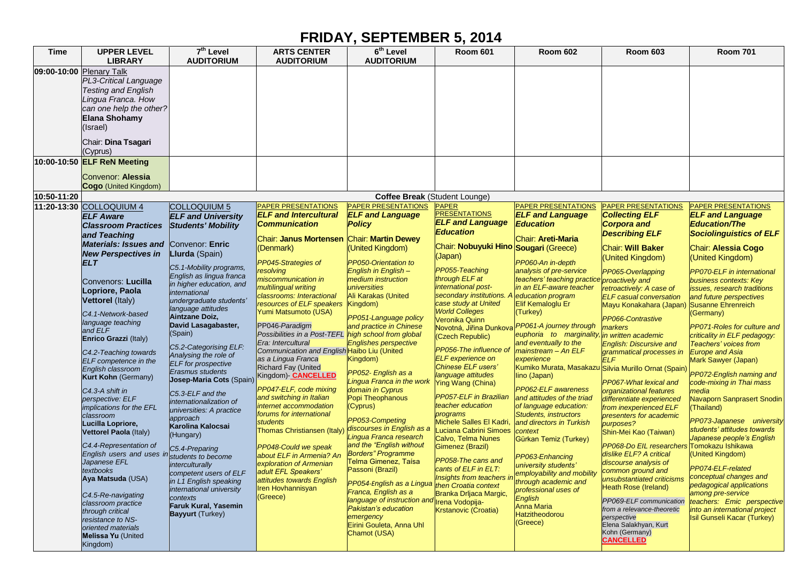## **FRIDAY, SEPTEMBER 5, 2014**

| <b>Time</b>              | <b>UPPER LEVEL</b><br><b>LIBRARY</b>                                                                                                                                        | $\overline{7}^{\text{th}}$ Level<br><b>AUDITORIUM</b> | <b>ARTS CENTER</b><br><b>AUDITORIUM</b>              | $6th$ Level<br><b>AUDITORIUM</b>                            | <b>Room 601</b>                                | <b>Room 602</b>                                          | <b>Room 603</b>                                           | <b>Room 701</b>                                          |
|--------------------------|-----------------------------------------------------------------------------------------------------------------------------------------------------------------------------|-------------------------------------------------------|------------------------------------------------------|-------------------------------------------------------------|------------------------------------------------|----------------------------------------------------------|-----------------------------------------------------------|----------------------------------------------------------|
| 09:00-10:00 Plenary Talk | PL3-Critical Language<br><b>Testing and English</b><br>Lingua Franca. How<br>can one help the other?<br><b>Elana Shohamy</b><br>(Israel)<br>Chair: Dina Tsagari<br>(Cyprus) |                                                       |                                                      |                                                             |                                                |                                                          |                                                           |                                                          |
|                          | 10:00-10:50 <b>ELF ReN Meeting</b><br>Convenor: Alessia                                                                                                                     |                                                       |                                                      |                                                             |                                                |                                                          |                                                           |                                                          |
| 10:50-11:20              | Cogo (United Kingdom)                                                                                                                                                       |                                                       |                                                      |                                                             |                                                |                                                          |                                                           |                                                          |
|                          | 11:20-13:30 COLLOQUIUM 4                                                                                                                                                    | COLLOQUIUM 5                                          | <b>PAPER PRESENTATIONS</b>                           | Coffee Break (Student Lounge)<br><b>PAPER PRESENTATIONS</b> | <b>PAPER</b>                                   | <b>PAPER PRESENTATIONS</b>                               | PAPER PRESENTATIONS                                       | PAPER PRESENTATIONS                                      |
|                          | <b>ELF Aware</b>                                                                                                                                                            | <b>ELF and University</b>                             | <b>ELF and Intercultural</b>                         | <b>ELF and Language</b>                                     | <b>PRESENTATIONS</b>                           | <b>ELF and Language</b>                                  | <b>Collecting ELF</b>                                     | <b>ELF and Language</b>                                  |
|                          | <b>Classroom Practices</b>                                                                                                                                                  | <b>Students' Mobility</b>                             | <b>Communication</b>                                 | <b>Policy</b>                                               | <b>ELF and Language</b>                        | <b>Education</b>                                         | <b>Corpora and</b>                                        | <b>Education/The</b>                                     |
|                          | and Teaching                                                                                                                                                                |                                                       | Chair: Janus Mortensen Chair: Martin Dewey           |                                                             | Education                                      | Chair: Areti-Maria                                       | <b>Describing ELF</b>                                     | <b>Sociolinguistics of ELF</b>                           |
|                          | <b>Materials: Issues and Convenor: Enric</b>                                                                                                                                |                                                       | (Denmark)                                            | (United Kingdom)                                            | Chair: Nobuyuki Hino Sougari (Greece)          |                                                          | Chair: Will Baker                                         | Chair: Alessia Cogo                                      |
|                          | <b>New Perspectives in</b>                                                                                                                                                  | Llurda (Spain)                                        |                                                      |                                                             | (Japan)                                        |                                                          | (United Kingdom)                                          | (United Kingdom)                                         |
|                          | ELT                                                                                                                                                                         | C5.1-Mobility programs,                               | PP045-Strategies of                                  | PP050-Orientation to                                        |                                                | PP060-An in-depth                                        |                                                           |                                                          |
|                          |                                                                                                                                                                             | English as lingua franca                              | <b>resolving</b><br>niscommunication in              | English in English-<br>medium instruction                   | PP055-Teaching<br>through ELF at               | analysis of pre-service<br>teachers' teaching practice   | PP065-Overlapping                                         | <b>PP070-ELF</b> in international                        |
|                          | Convenors: Lucilla                                                                                                                                                          | in higher education, and                              | multilingual writing                                 | universities                                                | international post-                            | in an ELF-aware teacher                                  | proactively and<br>retroactively: A case of               | business contexts: Key<br>issues, research traditions    |
|                          | Lopriore, Paola                                                                                                                                                             | international                                         | classrooms: Interactional                            | Ali Karakas (United                                         | secondary institutions.                        | education program                                        | <b>ELF</b> casual conversation                            | and future perspectives                                  |
|                          | <b>Vettorel</b> (Italy)                                                                                                                                                     | undergraduate students                                | resources of ELF speakers                            | Kingdom)                                                    | case study at United                           | Elif Kemaloglu Er                                        | Mayu Konakahara (Japan)                                   | <b>Susanne Ehrenreich</b>                                |
|                          | C4.1-Network-based                                                                                                                                                          | language attitudes<br>Aintzane Doiz,                  | Yumi Matsumoto (USA)                                 | PP051-Language policy                                       | <b>World Colleges</b>                          | (Turkey)                                                 |                                                           | (Germany)                                                |
|                          | language teaching                                                                                                                                                           | David Lasagabaster,                                   | PP046-Paradigm                                       | and practice in Chinese                                     | Veronika Quinn<br>Novotná, Jiřina Dunkova      | PP061-A journey through                                  | PP066-Contrastive<br>markers                              | <b>PP071-Roles for culture and</b>                       |
|                          | and ELF                                                                                                                                                                     | (Spain)                                               | Possibilities in a Post-TEFL high school from global |                                                             | (Czech Republic)                               | euphoria to marginality                                  | in written academic                                       | criticality in ELF pedagogy:                             |
|                          | Enrico Grazzi (Italy)                                                                                                                                                       | C5.2-Categorising ELF:                                | Era: Intercultural                                   | <b>Englishes perspective</b>                                |                                                | and eventually to the                                    | <b>English: Discursive and</b>                            | Teachers' voices from                                    |
|                          | C4.2-Teaching towards                                                                                                                                                       | Analysing the role of                                 | Communication and English Haibo Liu (United          |                                                             | PP056-The influence of                         | mainstream - An ELF                                      | grammatical processes in                                  | <b>Europe and Asia</b>                                   |
|                          | ELF competence in the                                                                                                                                                       | <b>ELF</b> for prospective                            | as a Lingua Franca<br><b>Richard Fay (United</b>     | Kingdom)                                                    | <b>ELF</b> experience on<br>Chinese ELF users' | experience<br>Kumiko Murata, Masakazu                    | <b>ELF</b>                                                | Mark Sawyer (Japan)                                      |
|                          | English classroom<br><b>Kurt Kohn (Germany)</b>                                                                                                                             | <b>Erasmus students</b>                               | Kingdom)- <b>CANCELLED</b>                           | PP052- English as a                                         | language attitudes                             | lino (Japan)                                             | Silvia Murillo Ornat (Spain)                              | PP072-English naming and                                 |
|                          |                                                                                                                                                                             | Josep-Maria Cots (Spain)                              |                                                      | Lingua Franca in the work                                   | <b>Ying Wang (China)</b>                       |                                                          | PP067-What lexical and                                    | code-mixing in Thai mass                                 |
|                          | C4.3-A shift in                                                                                                                                                             | C5.3-ELF and the                                      | PP047-ELF, code mixing<br>and switching in Italian   | domain in Cyprus<br>Popi Theophanous                        | <b>PP057-ELF</b> in Brazilian                  | <b>PP062-ELF</b> awareness<br>and attitudes of the triad | organizational features                                   | nedia                                                    |
|                          | perspective: ELF<br>implications for the EFL                                                                                                                                | internationalization of                               | internet accommodation                               | (Cyprus)                                                    | teacher education                              | of language education:                                   | differentiate experienced<br>from inexperienced ELF       | <b>Vavaporn Sanprasert Snodin</b><br>(Thailand)          |
|                          | classroom                                                                                                                                                                   | universities: A practice                              | forums for international                             |                                                             | programs                                       | Students, instructors                                    | presenters for academic                                   |                                                          |
|                          | Lucilla Lopriore,                                                                                                                                                           | approach<br>Karolina Kalocsai                         | <i>students</i>                                      | PP053-Competing                                             | Michele Salles El Kadri,                       | and directors in Turkish                                 | purposes?                                                 | PP073-Japanese university                                |
|                          | Vettorel Paola (Italy)                                                                                                                                                      | (Hungary)                                             | Thomas Christiansen (Italy)                          | discourses in English as a<br>Lingua Franca research        | Luciana Cabrini Simoes<br>Calvo, Telma Nunes   | context                                                  | Shin-Mei Kao (Taiwan)                                     | students' attitudes towards<br>Japanese people's English |
|                          | C4.4-Representation of                                                                                                                                                      |                                                       | PP048-Could we speak                                 | and the "English without                                    | Gimenez (Brazil)                               | Gürkan Temiz (Turkey)                                    | PP068-Do EIL researchers Tomokazu Ishikawa                |                                                          |
|                          | English users and uses in                                                                                                                                                   | C5.4-Preparing<br>students to become                  | about ELF in Armenia? An                             | <b>Borders" Programme</b>                                   |                                                | PP063-Enhancing                                          | dislike ELF? A critical                                   | (United Kingdom)                                         |
|                          | Japanese EFL                                                                                                                                                                | interculturally                                       | exploration of Armenian                              | Telma Gimenez, Taísa                                        | PP058-The cans and                             | university students'                                     | discourse analysis of                                     |                                                          |
|                          | textbooks                                                                                                                                                                   | competent users of ELF                                | adult EFL Speakers'                                  | Passoni (Brazil)                                            | cants of ELF in ELT:                           | Insights from teachers in employability and mobility     | common ground and                                         | PP074-ELF-related<br>conceptual changes and              |
|                          | Aya Matsuda (USA)                                                                                                                                                           | in L1 English speaking                                | attitudes towards English                            | PP054 English as a Lingua then Croatia context              |                                                | through academic and                                     | unsubstantiated criticisms<br><b>Heath Rose (Ireland)</b> | pedagogical applications                                 |
|                          | C4.5-Re-navigating                                                                                                                                                          | international university                              | <b>Iren Hovhannisyan</b><br>(Greece)                 | Franca, English as a                                        | Branka Drljaca Margic,                         | professional uses of                                     |                                                           | among pre-service                                        |
|                          | classroom practice                                                                                                                                                          | contexts<br><b>Faruk Kural, Yasemin</b>               |                                                      | language of instruction and Irena Vodopija-                 |                                                | English<br><b>Anna Maria</b>                             | PP069-ELF communication                                   | teachers: Emic perspective                               |
|                          | through critical                                                                                                                                                            | <b>Bayyurt</b> (Turkey)                               |                                                      | Pakistan's education<br>emergency                           | Krstanovic (Croatia)                           | Hatzitheodorou                                           | from a relevance-theoretic<br>perspective                 | into an international project                            |
|                          | resistance to NS-<br>oriented materials                                                                                                                                     |                                                       |                                                      | Eirini Gouleta, Anna Uhl                                    |                                                | (Greece)                                                 | Elena Salakhyan, Kurt                                     | Isil Gunseli Kacar (Turkey)                              |
|                          | <b>Melissa Yu (United</b>                                                                                                                                                   |                                                       |                                                      | Chamot (USA)                                                |                                                |                                                          | Kohn (Germany)                                            |                                                          |
|                          | Kingdom)                                                                                                                                                                    |                                                       |                                                      |                                                             |                                                |                                                          | <b>CANCELLED</b>                                          |                                                          |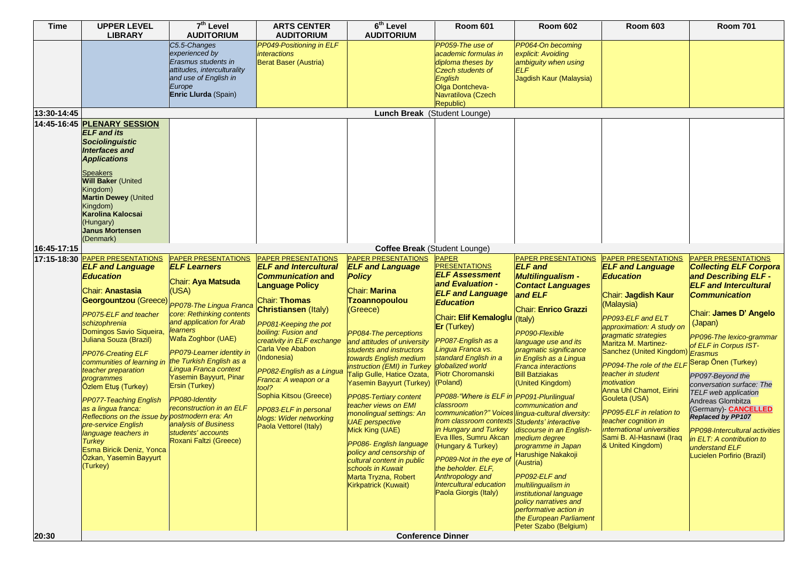| <b>Time</b> | <b>UPPER LEVEL</b>                                                                                                                                                                                                                                                                                                                                                                                                                                                                                                                                           | 7 <sup>th</sup> Level                                                                                                                                                                                                                                                                                                                                                                                                        | <b>ARTS CENTER</b>                                                                                                                                                                                                                                                                                                                                                                                                               | $6th$ Level                                                                                                                                                                                                                                                                                                                                                                                                                                                                                                                                                                                                                                        | <b>Room 601</b>                                                                                                                                                                                                                                                                                                                                                                                                                                                                                                                                                                                                                         | <b>Room 602</b>                                                                                                                                                                                                                                                                                                                                                                                                                                                                                                                                                                 | <b>Room 603</b>                                                                                                                                                                                                                                                                                                                                                                                                                                                       | <b>Room 701</b>                                                                                                                                                                                                                                                                                                                                                                                                                                                                                                         |
|-------------|--------------------------------------------------------------------------------------------------------------------------------------------------------------------------------------------------------------------------------------------------------------------------------------------------------------------------------------------------------------------------------------------------------------------------------------------------------------------------------------------------------------------------------------------------------------|------------------------------------------------------------------------------------------------------------------------------------------------------------------------------------------------------------------------------------------------------------------------------------------------------------------------------------------------------------------------------------------------------------------------------|----------------------------------------------------------------------------------------------------------------------------------------------------------------------------------------------------------------------------------------------------------------------------------------------------------------------------------------------------------------------------------------------------------------------------------|----------------------------------------------------------------------------------------------------------------------------------------------------------------------------------------------------------------------------------------------------------------------------------------------------------------------------------------------------------------------------------------------------------------------------------------------------------------------------------------------------------------------------------------------------------------------------------------------------------------------------------------------------|-----------------------------------------------------------------------------------------------------------------------------------------------------------------------------------------------------------------------------------------------------------------------------------------------------------------------------------------------------------------------------------------------------------------------------------------------------------------------------------------------------------------------------------------------------------------------------------------------------------------------------------------|---------------------------------------------------------------------------------------------------------------------------------------------------------------------------------------------------------------------------------------------------------------------------------------------------------------------------------------------------------------------------------------------------------------------------------------------------------------------------------------------------------------------------------------------------------------------------------|-----------------------------------------------------------------------------------------------------------------------------------------------------------------------------------------------------------------------------------------------------------------------------------------------------------------------------------------------------------------------------------------------------------------------------------------------------------------------|-------------------------------------------------------------------------------------------------------------------------------------------------------------------------------------------------------------------------------------------------------------------------------------------------------------------------------------------------------------------------------------------------------------------------------------------------------------------------------------------------------------------------|
|             | <b>LIBRARY</b>                                                                                                                                                                                                                                                                                                                                                                                                                                                                                                                                               | <b>AUDITORIUM</b>                                                                                                                                                                                                                                                                                                                                                                                                            | <b>AUDITORIUM</b><br>PP049-Positioning in ELF                                                                                                                                                                                                                                                                                                                                                                                    | <b>AUDITORIUM</b>                                                                                                                                                                                                                                                                                                                                                                                                                                                                                                                                                                                                                                  |                                                                                                                                                                                                                                                                                                                                                                                                                                                                                                                                                                                                                                         |                                                                                                                                                                                                                                                                                                                                                                                                                                                                                                                                                                                 |                                                                                                                                                                                                                                                                                                                                                                                                                                                                       |                                                                                                                                                                                                                                                                                                                                                                                                                                                                                                                         |
|             |                                                                                                                                                                                                                                                                                                                                                                                                                                                                                                                                                              | C5.5-Changes<br>experienced by<br>Erasmus students in<br>attitudes, interculturality<br>and use of English in<br>Europe<br>Enric Llurda (Spain)                                                                                                                                                                                                                                                                              | <i>interactions</i><br>Berat Baser (Austria)                                                                                                                                                                                                                                                                                                                                                                                     |                                                                                                                                                                                                                                                                                                                                                                                                                                                                                                                                                                                                                                                    | PP059-The use of<br>academic formulas in<br>diploma theses by<br>Czech students of<br>English<br>Olga Dontcheva-<br>Navratilova (Czech<br>Republic)                                                                                                                                                                                                                                                                                                                                                                                                                                                                                     | PP064-On becoming<br>explicit: Avoiding<br>ambiguity when using<br><b>ELF</b><br>Jagdish Kaur (Malaysia)                                                                                                                                                                                                                                                                                                                                                                                                                                                                        |                                                                                                                                                                                                                                                                                                                                                                                                                                                                       |                                                                                                                                                                                                                                                                                                                                                                                                                                                                                                                         |
| 13:30-14:45 | 14:45-16:45 <b>PLENARY SESSION</b>                                                                                                                                                                                                                                                                                                                                                                                                                                                                                                                           |                                                                                                                                                                                                                                                                                                                                                                                                                              |                                                                                                                                                                                                                                                                                                                                                                                                                                  | Lunch Break (Student Lounge)                                                                                                                                                                                                                                                                                                                                                                                                                                                                                                                                                                                                                       |                                                                                                                                                                                                                                                                                                                                                                                                                                                                                                                                                                                                                                         |                                                                                                                                                                                                                                                                                                                                                                                                                                                                                                                                                                                 |                                                                                                                                                                                                                                                                                                                                                                                                                                                                       |                                                                                                                                                                                                                                                                                                                                                                                                                                                                                                                         |
|             | <b>ELF</b> and its<br><b>Sociolinguistic</b><br>Interfaces and<br><b>Applications</b><br><b>Speakers</b><br><b>Will Baker (United</b><br>Kingdom)<br><b>Martin Dewey (United</b><br>Kingdom)<br><b>Karolina Kalocsai</b><br>(Hungary)<br><b>Janus Mortensen</b><br>(Denmark)                                                                                                                                                                                                                                                                                 |                                                                                                                                                                                                                                                                                                                                                                                                                              |                                                                                                                                                                                                                                                                                                                                                                                                                                  |                                                                                                                                                                                                                                                                                                                                                                                                                                                                                                                                                                                                                                                    |                                                                                                                                                                                                                                                                                                                                                                                                                                                                                                                                                                                                                                         |                                                                                                                                                                                                                                                                                                                                                                                                                                                                                                                                                                                 |                                                                                                                                                                                                                                                                                                                                                                                                                                                                       |                                                                                                                                                                                                                                                                                                                                                                                                                                                                                                                         |
| 16:45-17:15 |                                                                                                                                                                                                                                                                                                                                                                                                                                                                                                                                                              |                                                                                                                                                                                                                                                                                                                                                                                                                              |                                                                                                                                                                                                                                                                                                                                                                                                                                  | Coffee Break (Student Lounge)                                                                                                                                                                                                                                                                                                                                                                                                                                                                                                                                                                                                                      |                                                                                                                                                                                                                                                                                                                                                                                                                                                                                                                                                                                                                                         |                                                                                                                                                                                                                                                                                                                                                                                                                                                                                                                                                                                 |                                                                                                                                                                                                                                                                                                                                                                                                                                                                       |                                                                                                                                                                                                                                                                                                                                                                                                                                                                                                                         |
|             | 17:15-18:30 <b>PAPER PRESENTATIONS</b>                                                                                                                                                                                                                                                                                                                                                                                                                                                                                                                       | <b>PAPER PRESENTATIONS</b>                                                                                                                                                                                                                                                                                                                                                                                                   | PAPER PRESENTATIONS                                                                                                                                                                                                                                                                                                                                                                                                              | <b>PAPER PRESENTATIONS</b>                                                                                                                                                                                                                                                                                                                                                                                                                                                                                                                                                                                                                         | <b>PAPER</b>                                                                                                                                                                                                                                                                                                                                                                                                                                                                                                                                                                                                                            | <b>PAPER PRESENTATIONS</b>                                                                                                                                                                                                                                                                                                                                                                                                                                                                                                                                                      | <b>PAPER PRESENTATIONS</b>                                                                                                                                                                                                                                                                                                                                                                                                                                            | <b>PAPER PRESENTATIONS</b>                                                                                                                                                                                                                                                                                                                                                                                                                                                                                              |
|             | <b>ELF and Language</b><br>Education<br>Chair: Anastasia<br>Georgountzou (Greece)<br><b>PP075-ELF</b> and teacher<br>schizophrenia<br>Domingos Savio Siqueira,<br>Juliana Souza (Brazil)<br><b>PP076-Creating ELF</b><br>communities of learning in<br>teacher preparation<br>programmes<br>Özlem Etuş (Turkey)<br><b>PP077-Teaching English</b><br>as a lingua franca:<br>Reflections on the issue by postmodern era: An<br>pre-service English<br>language teachers in<br><b>Turkey</b><br>Esma Biricik Deniz, Yonca<br>Özkan, Yasemin Bayyurt<br>(Turkey) | <b>ELF Learners</b><br>Chair: Aya Matsuda<br>(USA)<br>PP078-The Lingua Franca<br>core: Rethinking contents<br>and application for Arab<br>learners<br>Wafa Zoghbor (UAE)<br>PP079-Learner identity in<br>the Turkish English as a<br>Lingua Franca context<br>Yasemin Bayyurt, Pinar<br>Ersin (Turkey)<br>PP080-Identity<br>reconstruction in an ELF<br>analysis of Business<br>students' accounts<br>Roxani Faltzi (Greece) | <b>ELF</b> and Intercultural<br><b>Communication and</b><br><b>Language Policy</b><br><b>Chair: Thomas</b><br><b>Christiansen (Italy)</b><br>PP081-Keeping the pot<br>boiling: Fusion and<br>creativity in ELF exchange<br>Carla Vee Ababon<br>Indonesia)<br>PP082-English as a Lingua<br>Franca: A weapon or a<br>tool?<br>Sophia Kitsou (Greece)<br>PP083-ELF in personal<br>blogs: Wider networking<br>Paola Vettorel (Italy) | <b>ELF and Language</b><br><b>Policy</b><br><b>Chair: Marina</b><br><b>Tzoannopoulou</b><br>(Greece)<br>PP084-The perceptions<br>and attitudes of university<br>students and instructors<br>towards English medium<br>instruction (EMI) in Turkey globalized world<br>Talip Gulle, Hatice Ozata,<br>Yasemin Bayyurt (Turkey)<br><b>PP085-Tertiary content</b><br>teacher views on EMI<br>monolingual settings: An<br><b>UAE</b> perspective<br>Mick King (UAE)<br>PP086- English language (Hungary & Turkey)<br>policy and censorship of<br>cultural content in public<br>schools in Kuwait<br>Marta Tryzna, Robert<br><b>Kirkpatrick (Kuwait)</b> | <b>PRESENTATIONS</b><br><b>ELF Assessment</b><br>and Evaluation -<br><b>ELF and Language</b><br><b>Education</b><br>Chair: Elif Kemaloglu<br><b>Er</b> (Turkey)<br>PP087-English as a<br>Lingua Franca vs.<br>standard English in a<br><b>Piotr Choromanski</b><br>(Poland)<br>PP088-"Where is ELF in PP091-Plurilingual<br>classroom<br>communication?" Voices lingua-cultural diversity:<br>from classroom contexts Students' interactive<br>in Hungary and Turkey<br>Eva Illes, Sumru Akcan   medium degree<br>PP089-Not in the eye of<br>the beholder. ELF,<br>Anthropology and<br>Intercultural education<br>Paola Giorgis (Italy) | <b>ELF</b> and<br>Multilingualism -<br><b>Contact Languages</b><br>and ELF<br>Chair: Enrico Grazzi<br>(Italy)<br>PP090-Flexible<br>language use and its<br>pragmatic significance<br>in English as a Lingua<br><b>Franca interactions</b><br><b>Bill Batziakas</b><br>(United Kingdom)<br>communication and<br>discourse in an English-<br>programme in Japan<br>Harushige Nakakoji<br>(Austria)<br>PP092-ELF and<br>multilingualism in<br><i>institutional language</i><br>policy narratives and<br>performative action in<br>the European Parliament<br>Peter Szabo (Belgium) | <b>ELF and Language</b><br><b>Education</b><br>Chair: Jagdish Kaur<br>(Malaysia)<br>PP093-ELF and ELT<br>approximation: A study on<br>pragmatic strategies<br>Maritza M. Martinez-<br>Sanchez (United Kingdom)<br>PP094-The role of the ELI<br>teacher in student<br>motivation<br>Anna Uhl Chamot, Eirini<br>Gouleta (USA)<br>PP095-ELF in relation to<br>teacher cognition in<br><b>International universities</b><br>Sami B. Al-Hasnawi (Iraq<br>& United Kingdom) | <b>Collecting ELF Corpora</b><br>and Describing ELF-<br><b>ELF</b> and Intercultural<br><b>Communication</b><br>Chair: James D' Angelo<br>(Japan)<br>PP096-The lexico-grammar<br>of ELF in Corpus IST-<br>Erasmus<br>Serap Önen (Turkey)<br>PP097-Beyond the<br>conversation surface: The<br><b>TELF</b> web application<br>Andreas Glombitza<br>(Germany)- <b>CANCELLED</b><br><b>Replaced by PP107</b><br>PP098-Intercultural activities<br>in ELT: A contribution to<br>understand ELF<br>Lucielen Porfirio (Brazil) |
| 20:30       |                                                                                                                                                                                                                                                                                                                                                                                                                                                                                                                                                              |                                                                                                                                                                                                                                                                                                                                                                                                                              |                                                                                                                                                                                                                                                                                                                                                                                                                                  | <b>Conference Dinner</b>                                                                                                                                                                                                                                                                                                                                                                                                                                                                                                                                                                                                                           |                                                                                                                                                                                                                                                                                                                                                                                                                                                                                                                                                                                                                                         |                                                                                                                                                                                                                                                                                                                                                                                                                                                                                                                                                                                 |                                                                                                                                                                                                                                                                                                                                                                                                                                                                       |                                                                                                                                                                                                                                                                                                                                                                                                                                                                                                                         |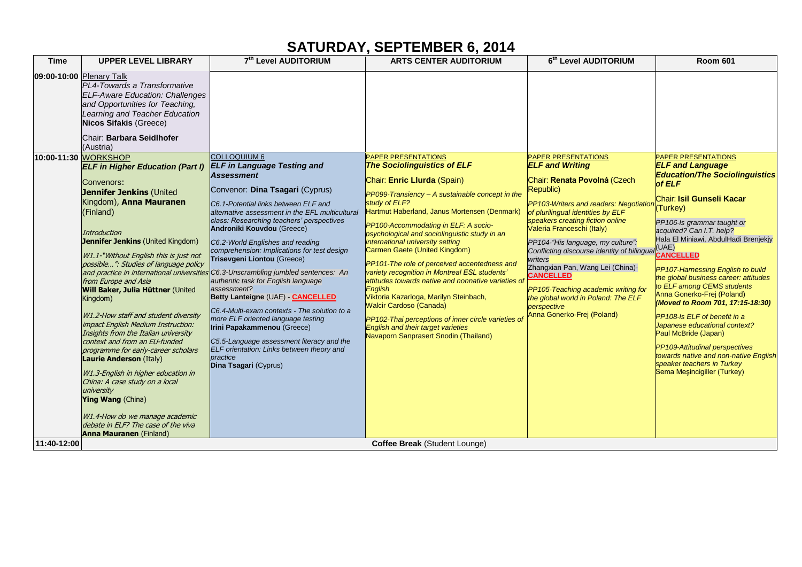## **SATURDAY, SEPTEMBER 6, 2014**

| <b>Time</b>              | <b>UPPER LEVEL LIBRARY</b>                                                                                                                                                                                                                                                                                                                                                                                                                                                                                                                                                                                                                                                                                                                                                                               | 7th Level AUDITORIUM                                                                                                                                                                                                                                                                                                                                                                                                                                                                                                                                                                                                                                                                                                                                                                                      | <b>ARTS CENTER AUDITORIUM</b>                                                                                                                                                                                                                                                                                                                                                                                                                                                                                                                                                                                                                                                                                                                                                        | 6th Level AUDITORIUM                                                                                                                                                                                                                                                                                                                                                                                                                                                                                                                 | <b>Room 601</b>                                                                                                                                                                                                                                                                                                                                                                                                                                                                                                                                                                                                             |
|--------------------------|----------------------------------------------------------------------------------------------------------------------------------------------------------------------------------------------------------------------------------------------------------------------------------------------------------------------------------------------------------------------------------------------------------------------------------------------------------------------------------------------------------------------------------------------------------------------------------------------------------------------------------------------------------------------------------------------------------------------------------------------------------------------------------------------------------|-----------------------------------------------------------------------------------------------------------------------------------------------------------------------------------------------------------------------------------------------------------------------------------------------------------------------------------------------------------------------------------------------------------------------------------------------------------------------------------------------------------------------------------------------------------------------------------------------------------------------------------------------------------------------------------------------------------------------------------------------------------------------------------------------------------|--------------------------------------------------------------------------------------------------------------------------------------------------------------------------------------------------------------------------------------------------------------------------------------------------------------------------------------------------------------------------------------------------------------------------------------------------------------------------------------------------------------------------------------------------------------------------------------------------------------------------------------------------------------------------------------------------------------------------------------------------------------------------------------|--------------------------------------------------------------------------------------------------------------------------------------------------------------------------------------------------------------------------------------------------------------------------------------------------------------------------------------------------------------------------------------------------------------------------------------------------------------------------------------------------------------------------------------|-----------------------------------------------------------------------------------------------------------------------------------------------------------------------------------------------------------------------------------------------------------------------------------------------------------------------------------------------------------------------------------------------------------------------------------------------------------------------------------------------------------------------------------------------------------------------------------------------------------------------------|
| 09:00-10:00 Plenary Talk | PL4-Towards a Transformative<br><b>ELF-Aware Education: Challenges</b><br>and Opportunities for Teaching,<br>Learning and Teacher Education<br><b>Nicos Sifakis (Greece)</b><br>Chair: Barbara Seidlhofer<br>(Austria)<br>10:00-11:30 WORKSHOP<br><b>ELF in Higher Education (Part I)</b><br>Convenors:<br><b>Jennifer Jenkins (United</b><br>Kingdom), Anna Mauranen<br>(Finland)<br><b>Introduction</b><br>Jennifer Jenkins (United Kingdom)<br>W1.1-"Without English this is just not<br>possible": Studies of language policy<br>from Europe and Asia<br>Will Baker, Julia Hüttner (United<br>Kingdom)<br>W1.2-How staff and student diversity<br>impact English Medium Instruction:<br>Insights from the Italian university<br>context and from an EU-funded<br>programme for early-career scholars | <b>COLLOQUIUM 6</b><br><b>ELF in Language Testing and</b><br><b>Assessment</b><br>Convenor: Dina Tsagari (Cyprus)<br>C6.1-Potential links between ELF and<br>alternative assessment in the EFL multicultural<br>class: Researching teachers' perspectives<br>Androniki Kouvdou (Greece)<br>C6.2-World Englishes and reading<br>comprehension: Implications for test design<br>Trisevgeni Liontou (Greece)<br>and practice in international universities C6.3-Unscrambling jumbled sentences: An<br>authentic task for English language<br>assessment?<br>Betty Lanteigne (UAE) - CANCELLED<br>C6.4-Multi-exam contexts - The solution to a<br>more ELF oriented language testing<br>Irini Papakammenou (Greece)<br>C5.5-Language assessment literacy and the<br>ELF orientation: Links between theory and | <b>PAPER PRESENTATIONS</b><br><b>The Sociolinguistics of ELF</b><br>Chair: Enric Llurda (Spain)<br>PP099-Transiency - A sustainable concept in the<br>study of ELF?<br>Hartmut Haberland, Janus Mortensen (Denmark)<br>PP100-Accommodating in ELF: A socio-<br>psychological and sociolinguistic study in an<br>international university setting<br>Carmen Gaete (United Kingdom)<br><b>PP101-The role of perceived accentedness and</b><br>variety recognition in Montreal ESL students'<br>attitudes towards native and nonnative varieties of<br>Enalish<br>Viktoria Kazarloga, Marilyn Steinbach,<br><b>Walcir Cardoso (Canada)</b><br>PP102-Thai perceptions of inner circle varieties of<br><b>English and their target varieties</b><br>Navaporn Sanprasert Snodin (Thailand) | <b>PAPER PRESENTATIONS</b><br><b>ELF and Writing</b><br>Chair: Renata Povolná (Czech<br>Republic)<br>PP103-Writers and readers: Negotiation<br>of plurilingual identities by ELF<br>speakers creating fiction online<br>Valeria Franceschi (Italy)<br>PP104-"His language, my culture":<br>Conflicting discourse identity of bilingual<br>writers<br>Zhangxian Pan, Wang Lei (China)-<br><b>CANCELLED</b><br>PP105-Teaching academic writing for<br>the global world in Poland: The ELF<br>perspective<br>Anna Gonerko-Frej (Poland) | PAPER PRESENTATIONS<br><b>ELF and Language</b><br><b>Education/The Sociolinguistics</b><br>of ELF<br>Chair: Isil Gunseli Kacar<br>(Turkey)<br>PP106-Is grammar taught or<br>acquired? Can I.T. help?<br>Hala El Miniawi, AbdulHadi Brenjekjy<br>(UAE)<br><b>CANCELLED</b><br>PP107-Harnessing English to build<br>the global business career: attitudes<br>to ELF among CEMS students<br>Anna Gonerko-Frej (Poland)<br>(Moved to Room 701, 17:15-18:30)<br>PP108-Is ELF of benefit in a<br>Japanese educational context?<br>Paul McBride (Japan)<br>PP109-Attitudinal perspectives<br>towards native and non-native English |
|                          | <b>Laurie Anderson (Italy)</b><br>W1.3-English in higher education in<br>China: A case study on a local<br>university<br><b>Ying Wang (China)</b><br>W1.4-How do we manage academic<br>debate in ELF? The case of the viva<br><b>Anna Mauranen</b> (Finland)                                                                                                                                                                                                                                                                                                                                                                                                                                                                                                                                             | practice<br>Dina Tsagari (Cyprus)                                                                                                                                                                                                                                                                                                                                                                                                                                                                                                                                                                                                                                                                                                                                                                         |                                                                                                                                                                                                                                                                                                                                                                                                                                                                                                                                                                                                                                                                                                                                                                                      |                                                                                                                                                                                                                                                                                                                                                                                                                                                                                                                                      | speaker teachers in Turkey<br>Sema Meşincigiller (Turkey)                                                                                                                                                                                                                                                                                                                                                                                                                                                                                                                                                                   |
| 11:40-12:00              |                                                                                                                                                                                                                                                                                                                                                                                                                                                                                                                                                                                                                                                                                                                                                                                                          |                                                                                                                                                                                                                                                                                                                                                                                                                                                                                                                                                                                                                                                                                                                                                                                                           | <b>Coffee Break (Student Lounge)</b>                                                                                                                                                                                                                                                                                                                                                                                                                                                                                                                                                                                                                                                                                                                                                 |                                                                                                                                                                                                                                                                                                                                                                                                                                                                                                                                      |                                                                                                                                                                                                                                                                                                                                                                                                                                                                                                                                                                                                                             |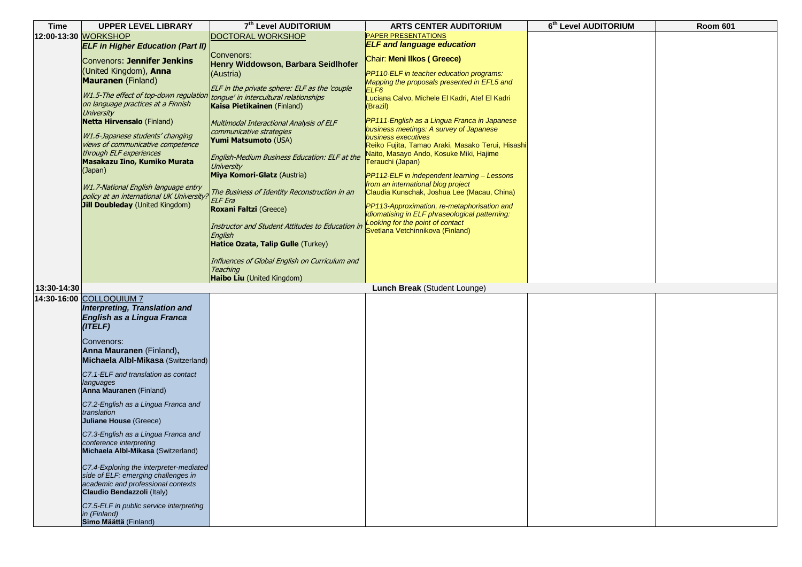| <b>Time</b> | <b>UPPER LEVEL LIBRARY</b>                                            | 7th Level AUDITORIUM                                                                    | <b>ARTS CENTER AUDITORIUM</b>                                                               | 6th Level AUDITORIUM | <b>Room 601</b> |
|-------------|-----------------------------------------------------------------------|-----------------------------------------------------------------------------------------|---------------------------------------------------------------------------------------------|----------------------|-----------------|
|             | 12:00-13:30 WORKSHOP                                                  | <b>DOCTORAL WORKSHOP</b>                                                                | <b>PAPER PRESENTATIONS</b>                                                                  |                      |                 |
|             | <b>ELF in Higher Education (Part II)</b>                              |                                                                                         | <b>ELF</b> and language education                                                           |                      |                 |
|             |                                                                       | Convenors:                                                                              | Chair: Meni Ilkos (Greece)                                                                  |                      |                 |
|             | Convenors: Jennifer Jenkins                                           | Henry Widdowson, Barbara Seidlhofer                                                     |                                                                                             |                      |                 |
|             | (United Kingdom), Anna                                                | (Austria)                                                                               | PP110-ELF in teacher education programs:                                                    |                      |                 |
|             | <b>Mauranen</b> (Finland)                                             |                                                                                         | Mapping the proposals presented in EFL5 and                                                 |                      |                 |
|             | W1.5-The effect of top-down regulation                                | ELF in the private sphere: ELF as the 'couple<br>tongue' in intercultural relationships | ELF <sub>6</sub>                                                                            |                      |                 |
|             | on language practices at a Finnish                                    | Kaisa Pietikainen (Finland)                                                             | Luciana Calvo, Michele El Kadri, Atef El Kadri<br>(Brazil)                                  |                      |                 |
|             | University                                                            |                                                                                         |                                                                                             |                      |                 |
|             | <b>Netta Hirvensalo (Finland)</b>                                     | Multimodal Interactional Analysis of ELF                                                | PP111-English as a Lingua Franca in Japanese                                                |                      |                 |
|             |                                                                       | communicative strategies                                                                | business meetings: A survey of Japanese                                                     |                      |                 |
|             | W1.6-Japanese students' changing<br>views of communicative competence | Yumi Matsumoto (USA)                                                                    | business executives                                                                         |                      |                 |
|             | through ELF experiences                                               |                                                                                         | Reiko Fujita, Tamao Araki, Masako Terui, Hisashi<br>Naito, Masayo Ando, Kosuke Miki, Hajime |                      |                 |
|             | Masakazu Iino, Kumiko Murata                                          | English-Medium Business Education: ELF at the                                           | Terauchi (Japan)                                                                            |                      |                 |
|             | (Japan)                                                               | <b>University</b>                                                                       |                                                                                             |                      |                 |
|             |                                                                       | Miya Komori-Glatz (Austria)                                                             | PP112-ELF in independent learning - Lessons                                                 |                      |                 |
|             | W1.7-National English language entry                                  |                                                                                         | from an international blog project                                                          |                      |                 |
|             | policy at an international UK University?                             | The Business of Identity Reconstruction in an                                           | Claudia Kunschak, Joshua Lee (Macau, China)                                                 |                      |                 |
|             | <b>Jill Doubleday</b> (United Kingdom)                                | <b>ELF</b> Era<br><b>Roxani Faltzi (Greece)</b>                                         | PP113-Approximation, re-metaphorisation and                                                 |                      |                 |
|             |                                                                       |                                                                                         | idiomatising in ELF phraseological patterning:                                              |                      |                 |
|             |                                                                       | Instructor and Student Attitudes to Education in                                        | Looking for the point of contact                                                            |                      |                 |
|             |                                                                       | English                                                                                 | Svetlana Vetchinnikova (Finland)                                                            |                      |                 |
|             |                                                                       | Hatice Ozata, Talip Gulle (Turkey)                                                      |                                                                                             |                      |                 |
|             |                                                                       |                                                                                         |                                                                                             |                      |                 |
|             |                                                                       | Influences of Global English on Curriculum and                                          |                                                                                             |                      |                 |
|             |                                                                       | <b>Teaching</b>                                                                         |                                                                                             |                      |                 |
|             |                                                                       | Haibo Liu (United Kingdom)                                                              |                                                                                             |                      |                 |
| 13:30-14:30 |                                                                       |                                                                                         | Lunch Break (Student Lounge)                                                                |                      |                 |
|             | 14:30-16:00 COLLOQUIUM 7                                              |                                                                                         |                                                                                             |                      |                 |
|             | Interpreting, Translation and                                         |                                                                                         |                                                                                             |                      |                 |
|             | English as a Lingua Franca                                            |                                                                                         |                                                                                             |                      |                 |
|             | (ITELF)                                                               |                                                                                         |                                                                                             |                      |                 |
|             | Convenors:                                                            |                                                                                         |                                                                                             |                      |                 |
|             | Anna Mauranen (Finland),                                              |                                                                                         |                                                                                             |                      |                 |
|             | Michaela Albl-Mikasa (Switzerland)                                    |                                                                                         |                                                                                             |                      |                 |
|             |                                                                       |                                                                                         |                                                                                             |                      |                 |
|             | C7.1-ELF and translation as contact                                   |                                                                                         |                                                                                             |                      |                 |
|             | languages<br>Anna Mauranen (Finland)                                  |                                                                                         |                                                                                             |                      |                 |
|             |                                                                       |                                                                                         |                                                                                             |                      |                 |
|             | C7.2-English as a Lingua Franca and                                   |                                                                                         |                                                                                             |                      |                 |
|             | translation<br><b>Juliane House (Greece)</b>                          |                                                                                         |                                                                                             |                      |                 |
|             |                                                                       |                                                                                         |                                                                                             |                      |                 |
|             | C7.3-English as a Lingua Franca and                                   |                                                                                         |                                                                                             |                      |                 |
|             | conference interpreting                                               |                                                                                         |                                                                                             |                      |                 |
|             | Michaela Albl-Mikasa (Switzerland)                                    |                                                                                         |                                                                                             |                      |                 |
|             | C7.4-Exploring the interpreter-mediated                               |                                                                                         |                                                                                             |                      |                 |
|             | side of ELF: emerging challenges in                                   |                                                                                         |                                                                                             |                      |                 |
|             | academic and professional contexts                                    |                                                                                         |                                                                                             |                      |                 |
|             | Claudio Bendazzoli (Italy)                                            |                                                                                         |                                                                                             |                      |                 |
|             | C7.5-ELF in public service interpreting                               |                                                                                         |                                                                                             |                      |                 |
|             | in (Finland)                                                          |                                                                                         |                                                                                             |                      |                 |
|             | Simo Määttä (Finland)                                                 |                                                                                         |                                                                                             |                      |                 |